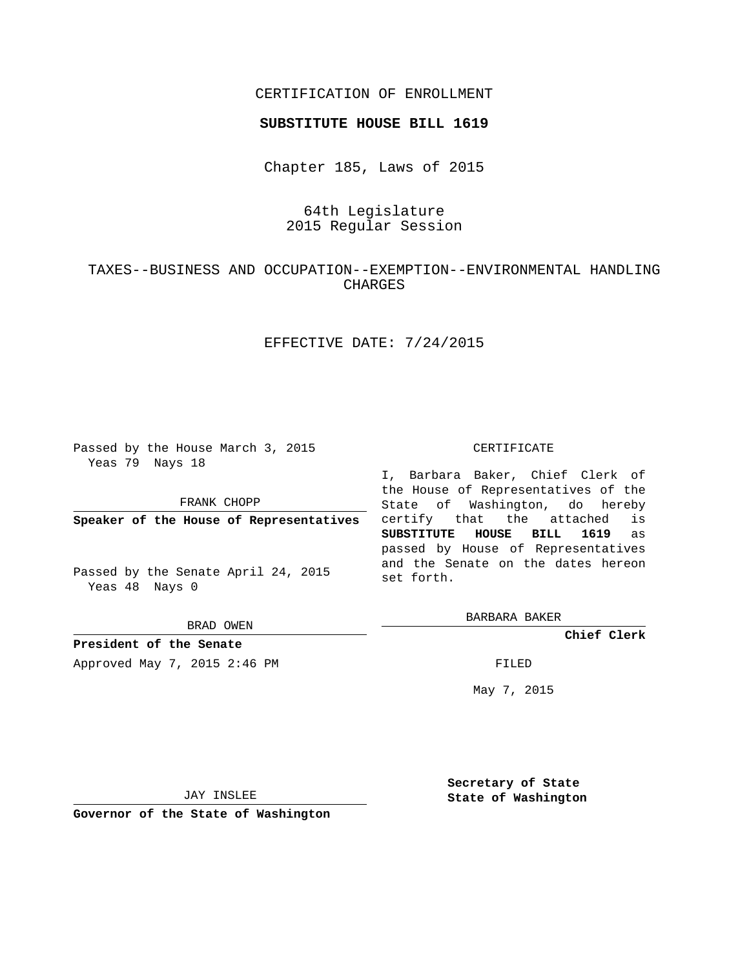## CERTIFICATION OF ENROLLMENT

#### **SUBSTITUTE HOUSE BILL 1619**

Chapter 185, Laws of 2015

# 64th Legislature 2015 Regular Session

## TAXES--BUSINESS AND OCCUPATION--EXEMPTION--ENVIRONMENTAL HANDLING CHARGES

## EFFECTIVE DATE: 7/24/2015

Passed by the House March 3, 2015 Yeas 79 Nays 18

FRANK CHOPP

**Speaker of the House of Representatives**

Passed by the Senate April 24, 2015 Yeas 48 Nays 0

BRAD OWEN

**President of the Senate**

Approved May 7, 2015 2:46 PM FILED

#### CERTIFICATE

I, Barbara Baker, Chief Clerk of the House of Representatives of the State of Washington, do hereby certify that the attached is **SUBSTITUTE HOUSE BILL 1619** as passed by House of Representatives and the Senate on the dates hereon set forth.

BARBARA BAKER

**Chief Clerk**

May 7, 2015

JAY INSLEE

**Governor of the State of Washington**

**Secretary of State State of Washington**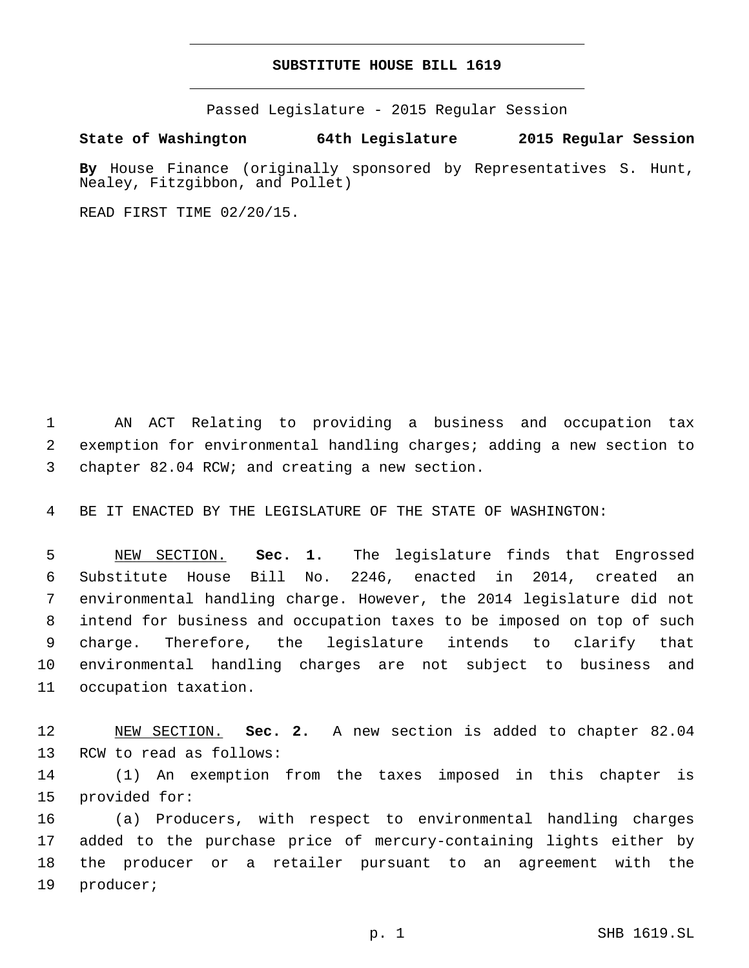## **SUBSTITUTE HOUSE BILL 1619**

Passed Legislature - 2015 Regular Session

**State of Washington 64th Legislature 2015 Regular Session**

**By** House Finance (originally sponsored by Representatives S. Hunt, Nealey, Fitzgibbon, and Pollet)

READ FIRST TIME 02/20/15.

1 AN ACT Relating to providing a business and occupation tax 2 exemption for environmental handling charges; adding a new section to 3 chapter 82.04 RCW; and creating a new section.

4 BE IT ENACTED BY THE LEGISLATURE OF THE STATE OF WASHINGTON:

 NEW SECTION. **Sec. 1.** The legislature finds that Engrossed Substitute House Bill No. 2246, enacted in 2014, created an environmental handling charge. However, the 2014 legislature did not intend for business and occupation taxes to be imposed on top of such charge. Therefore, the legislature intends to clarify that environmental handling charges are not subject to business and occupation taxation.

12 NEW SECTION. **Sec. 2.** A new section is added to chapter 82.04 13 RCW to read as follows:

14 (1) An exemption from the taxes imposed in this chapter is 15 provided for:

 (a) Producers, with respect to environmental handling charges added to the purchase price of mercury-containing lights either by the producer or a retailer pursuant to an agreement with the 19 producer;